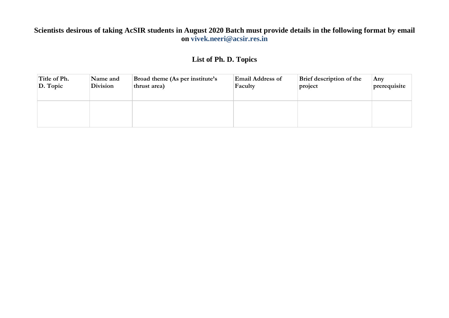## **Scientists desirous of taking AcSIR students in August 2020 Batch must provide details in the following format by email on vivek.neeri@acsir.res.in**

## **List of Ph. D. Topics**

| Title of Ph.     | Name and        | Broad theme (As per institute's | <b>Email Address of</b> | Brief description of the | Anv          |
|------------------|-----------------|---------------------------------|-------------------------|--------------------------|--------------|
| $\vert$ D. Topic | <b>Division</b> | thrust area)                    | Faculty                 | project                  | prerequisite |
|                  |                 |                                 |                         |                          |              |